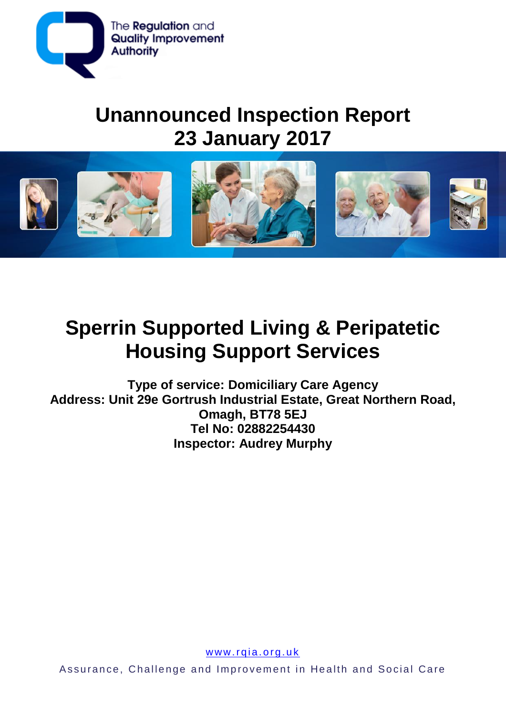

## **Unannounced Inspection Report 23 January 2017**



# **Sperrin Supported Living & Peripatetic Housing Support Services**

**Type of service: Domiciliary Care Agency Address: Unit 29e Gortrush Industrial Estate, Great Northern Road, Omagh, BT78 5EJ Tel No: 02882254430 Inspector: Audrey Murphy**

www.rqia.org.uk

Assurance, Challenge and Improvement in Health and Social Care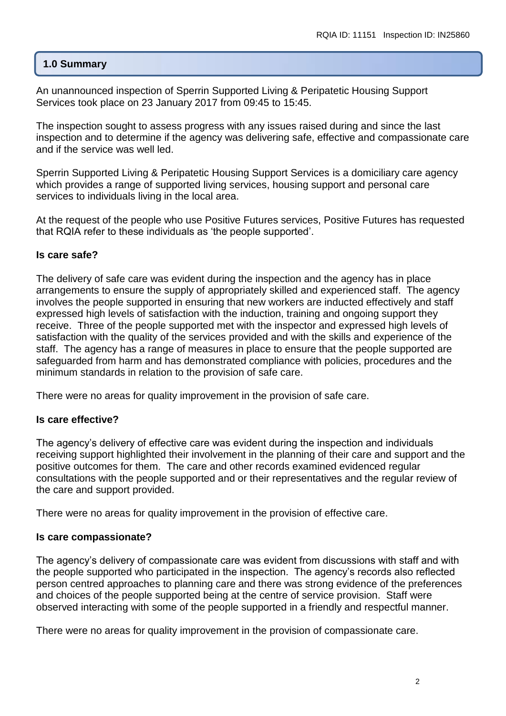## **1.0 Summary**

An unannounced inspection of Sperrin Supported Living & Peripatetic Housing Support Services took place on 23 January 2017 from 09:45 to 15:45.

The inspection sought to assess progress with any issues raised during and since the last inspection and to determine if the agency was delivering safe, effective and compassionate care and if the service was well led.

Sperrin Supported Living & Peripatetic Housing Support Services is a domiciliary care agency which provides a range of supported living services, housing support and personal care services to individuals living in the local area.

At the request of the people who use Positive Futures services, Positive Futures has requested that RQIA refer to these individuals as 'the people supported'.

## **Is care safe?**

The delivery of safe care was evident during the inspection and the agency has in place arrangements to ensure the supply of appropriately skilled and experienced staff. The agency involves the people supported in ensuring that new workers are inducted effectively and staff expressed high levels of satisfaction with the induction, training and ongoing support they receive. Three of the people supported met with the inspector and expressed high levels of satisfaction with the quality of the services provided and with the skills and experience of the staff. The agency has a range of measures in place to ensure that the people supported are safeguarded from harm and has demonstrated compliance with policies, procedures and the minimum standards in relation to the provision of safe care.

There were no areas for quality improvement in the provision of safe care.

## **Is care effective?**

The agency's delivery of effective care was evident during the inspection and individuals receiving support highlighted their involvement in the planning of their care and support and the positive outcomes for them. The care and other records examined evidenced regular consultations with the people supported and or their representatives and the regular review of the care and support provided.

There were no areas for quality improvement in the provision of effective care.

## **Is care compassionate?**

The agency's delivery of compassionate care was evident from discussions with staff and with the people supported who participated in the inspection. The agency's records also reflected person centred approaches to planning care and there was strong evidence of the preferences and choices of the people supported being at the centre of service provision. Staff were observed interacting with some of the people supported in a friendly and respectful manner.

There were no areas for quality improvement in the provision of compassionate care.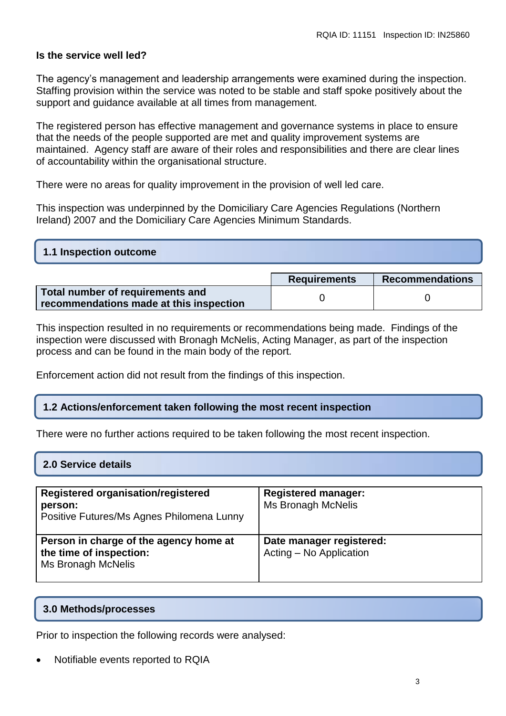## **Is the service well led?**

The agency's management and leadership arrangements were examined during the inspection. Staffing provision within the service was noted to be stable and staff spoke positively about the support and guidance available at all times from management.

The registered person has effective management and governance systems in place to ensure that the needs of the people supported are met and quality improvement systems are maintained. Agency staff are aware of their roles and responsibilities and there are clear lines of accountability within the organisational structure.

There were no areas for quality improvement in the provision of well led care.

This inspection was underpinned by the Domiciliary Care Agencies Regulations (Northern Ireland) 2007 and the Domiciliary Care Agencies Minimum Standards.

| 1.1 Inspection outcome |  |
|------------------------|--|
|                        |  |

|                                         | <b>Requirements</b> | <b>Recommendations</b> |
|-----------------------------------------|---------------------|------------------------|
| Total number of requirements and        |                     |                        |
| recommendations made at this inspection |                     |                        |

This inspection resulted in no requirements or recommendations being made. Findings of the inspection were discussed with Bronagh McNelis, Acting Manager, as part of the inspection process and can be found in the main body of the report.

Enforcement action did not result from the findings of this inspection.

## **1.2 Actions/enforcement taken following the most recent inspection**

There were no further actions required to be taken following the most recent inspection.

| Registered organisation/registered<br>person:<br>Positive Futures/Ms Agnes Philomena Lunny | <b>Registered manager:</b><br><b>Ms Bronagh McNelis</b> |
|--------------------------------------------------------------------------------------------|---------------------------------------------------------|
| Person in charge of the agency home at<br>the time of inspection:<br>Ms Bronagh McNelis    | Date manager registered:<br>Acting - No Application     |

#### **3.0 Methods/processes**

Prior to inspection the following records were analysed:

Notifiable events reported to RQIA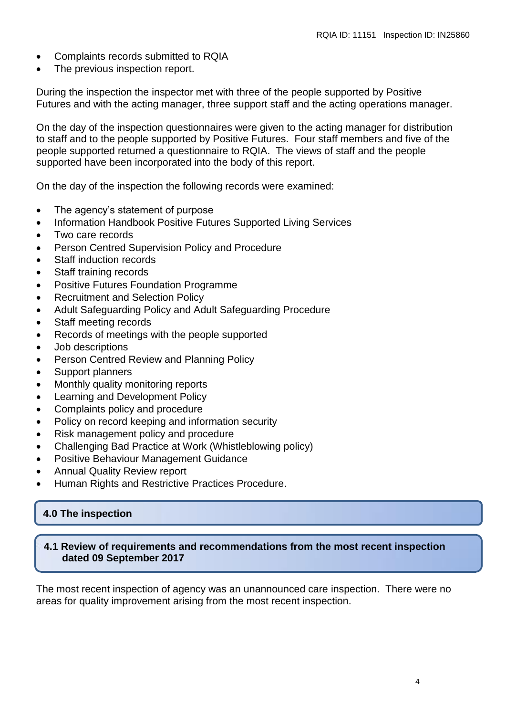- Complaints records submitted to RQIA
- The previous inspection report.

During the inspection the inspector met with three of the people supported by Positive Futures and with the acting manager, three support staff and the acting operations manager.

On the day of the inspection questionnaires were given to the acting manager for distribution to staff and to the people supported by Positive Futures. Four staff members and five of the people supported returned a questionnaire to RQIA. The views of staff and the people supported have been incorporated into the body of this report.

On the day of the inspection the following records were examined:

- The agency's statement of purpose
- Information Handbook Positive Futures Supported Living Services
- Two care records
- **Person Centred Supervision Policy and Procedure**
- Staff induction records
- Staff training records
- Positive Futures Foundation Programme
- Recruitment and Selection Policy
- Adult Safeguarding Policy and Adult Safeguarding Procedure
- Staff meeting records
- Records of meetings with the people supported
- Job descriptions
- Person Centred Review and Planning Policy
- Support planners
- Monthly quality monitoring reports
- Learning and Development Policy
- Complaints policy and procedure
- Policy on record keeping and information security
- Risk management policy and procedure
- Challenging Bad Practice at Work (Whistleblowing policy)
- Positive Behaviour Management Guidance
- Annual Quality Review report
- Human Rights and Restrictive Practices Procedure.

## **4.0 The inspection**

#### **4.1 Review of requirements and recommendations from the most recent inspection dated 09 September 2017**

The most recent inspection of agency was an unannounced care inspection. There were no areas for quality improvement arising from the most recent inspection.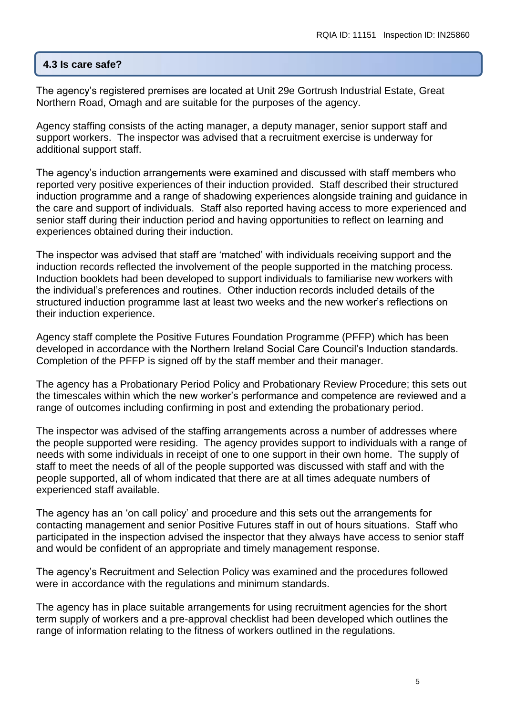## **4.3 Is care safe?**

The agency's registered premises are located at Unit 29e Gortrush Industrial Estate, Great Northern Road, Omagh and are suitable for the purposes of the agency.

Agency staffing consists of the acting manager, a deputy manager, senior support staff and support workers. The inspector was advised that a recruitment exercise is underway for additional support staff.

The agency's induction arrangements were examined and discussed with staff members who reported very positive experiences of their induction provided. Staff described their structured induction programme and a range of shadowing experiences alongside training and guidance in the care and support of individuals. Staff also reported having access to more experienced and senior staff during their induction period and having opportunities to reflect on learning and experiences obtained during their induction.

The inspector was advised that staff are 'matched' with individuals receiving support and the induction records reflected the involvement of the people supported in the matching process. Induction booklets had been developed to support individuals to familiarise new workers with the individual's preferences and routines. Other induction records included details of the structured induction programme last at least two weeks and the new worker's reflections on their induction experience.

Agency staff complete the Positive Futures Foundation Programme (PFFP) which has been developed in accordance with the Northern Ireland Social Care Council's Induction standards. Completion of the PFFP is signed off by the staff member and their manager.

The agency has a Probationary Period Policy and Probationary Review Procedure; this sets out the timescales within which the new worker's performance and competence are reviewed and a range of outcomes including confirming in post and extending the probationary period.

The inspector was advised of the staffing arrangements across a number of addresses where the people supported were residing. The agency provides support to individuals with a range of needs with some individuals in receipt of one to one support in their own home. The supply of staff to meet the needs of all of the people supported was discussed with staff and with the people supported, all of whom indicated that there are at all times adequate numbers of experienced staff available.

The agency has an 'on call policy' and procedure and this sets out the arrangements for contacting management and senior Positive Futures staff in out of hours situations. Staff who participated in the inspection advised the inspector that they always have access to senior staff and would be confident of an appropriate and timely management response.

The agency's Recruitment and Selection Policy was examined and the procedures followed were in accordance with the regulations and minimum standards.

The agency has in place suitable arrangements for using recruitment agencies for the short term supply of workers and a pre-approval checklist had been developed which outlines the range of information relating to the fitness of workers outlined in the regulations.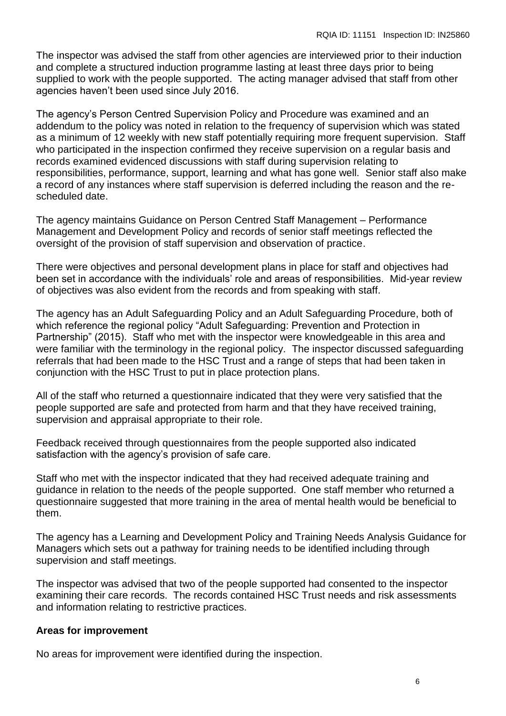The inspector was advised the staff from other agencies are interviewed prior to their induction and complete a structured induction programme lasting at least three days prior to being supplied to work with the people supported. The acting manager advised that staff from other agencies haven't been used since July 2016.

The agency's Person Centred Supervision Policy and Procedure was examined and an addendum to the policy was noted in relation to the frequency of supervision which was stated as a minimum of 12 weekly with new staff potentially requiring more frequent supervision. Staff who participated in the inspection confirmed they receive supervision on a regular basis and records examined evidenced discussions with staff during supervision relating to responsibilities, performance, support, learning and what has gone well. Senior staff also make a record of any instances where staff supervision is deferred including the reason and the rescheduled date.

The agency maintains Guidance on Person Centred Staff Management – Performance Management and Development Policy and records of senior staff meetings reflected the oversight of the provision of staff supervision and observation of practice.

There were objectives and personal development plans in place for staff and objectives had been set in accordance with the individuals' role and areas of responsibilities. Mid-year review of objectives was also evident from the records and from speaking with staff.

The agency has an Adult Safeguarding Policy and an Adult Safeguarding Procedure, both of which reference the regional policy "Adult Safeguarding: Prevention and Protection in Partnership" (2015). Staff who met with the inspector were knowledgeable in this area and were familiar with the terminology in the regional policy. The inspector discussed safeguarding referrals that had been made to the HSC Trust and a range of steps that had been taken in conjunction with the HSC Trust to put in place protection plans.

All of the staff who returned a questionnaire indicated that they were very satisfied that the people supported are safe and protected from harm and that they have received training, supervision and appraisal appropriate to their role.

Feedback received through questionnaires from the people supported also indicated satisfaction with the agency's provision of safe care.

Staff who met with the inspector indicated that they had received adequate training and guidance in relation to the needs of the people supported. One staff member who returned a questionnaire suggested that more training in the area of mental health would be beneficial to them.

The agency has a Learning and Development Policy and Training Needs Analysis Guidance for Managers which sets out a pathway for training needs to be identified including through supervision and staff meetings.

The inspector was advised that two of the people supported had consented to the inspector examining their care records. The records contained HSC Trust needs and risk assessments and information relating to restrictive practices.

#### **Areas for improvement**

No areas for improvement were identified during the inspection.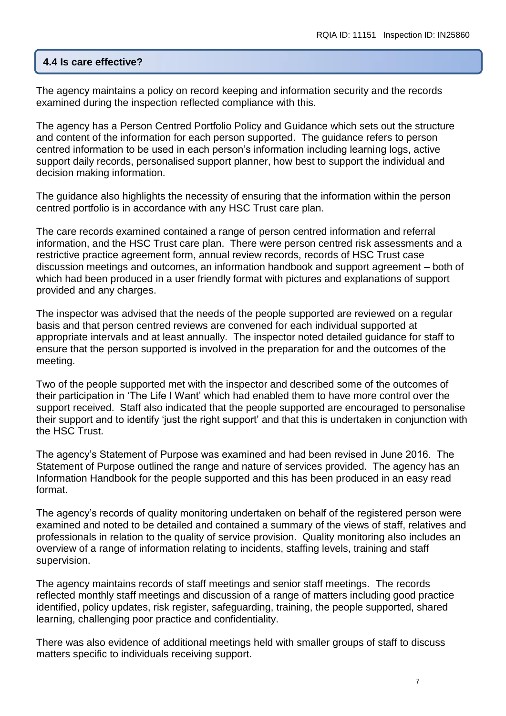#### **4.4 Is care effective?**

The agency maintains a policy on record keeping and information security and the records examined during the inspection reflected compliance with this.

The agency has a Person Centred Portfolio Policy and Guidance which sets out the structure and content of the information for each person supported. The guidance refers to person centred information to be used in each person's information including learning logs, active support daily records, personalised support planner, how best to support the individual and decision making information.

The guidance also highlights the necessity of ensuring that the information within the person centred portfolio is in accordance with any HSC Trust care plan.

The care records examined contained a range of person centred information and referral information, and the HSC Trust care plan. There were person centred risk assessments and a restrictive practice agreement form, annual review records, records of HSC Trust case discussion meetings and outcomes, an information handbook and support agreement – both of which had been produced in a user friendly format with pictures and explanations of support provided and any charges.

The inspector was advised that the needs of the people supported are reviewed on a regular basis and that person centred reviews are convened for each individual supported at appropriate intervals and at least annually. The inspector noted detailed guidance for staff to ensure that the person supported is involved in the preparation for and the outcomes of the meeting.

Two of the people supported met with the inspector and described some of the outcomes of their participation in 'The Life I Want' which had enabled them to have more control over the support received. Staff also indicated that the people supported are encouraged to personalise their support and to identify 'just the right support' and that this is undertaken in conjunction with the HSC Trust.

The agency's Statement of Purpose was examined and had been revised in June 2016. The Statement of Purpose outlined the range and nature of services provided. The agency has an Information Handbook for the people supported and this has been produced in an easy read format.

The agency's records of quality monitoring undertaken on behalf of the registered person were examined and noted to be detailed and contained a summary of the views of staff, relatives and professionals in relation to the quality of service provision. Quality monitoring also includes an overview of a range of information relating to incidents, staffing levels, training and staff supervision.

The agency maintains records of staff meetings and senior staff meetings. The records reflected monthly staff meetings and discussion of a range of matters including good practice identified, policy updates, risk register, safeguarding, training, the people supported, shared learning, challenging poor practice and confidentiality.

There was also evidence of additional meetings held with smaller groups of staff to discuss matters specific to individuals receiving support.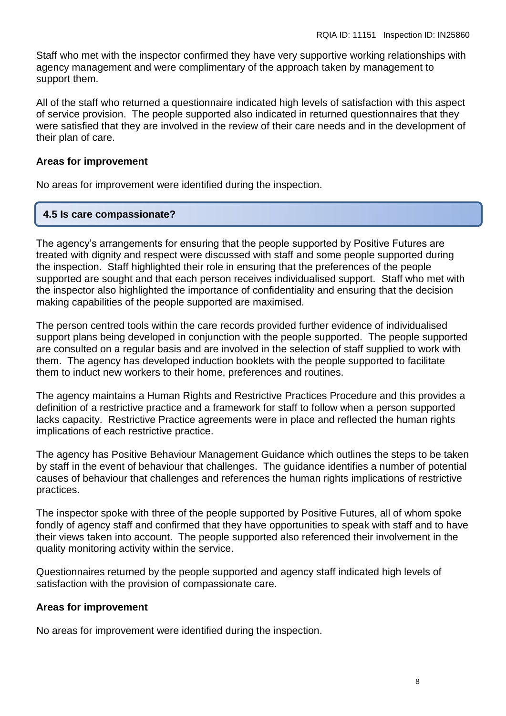Staff who met with the inspector confirmed they have very supportive working relationships with agency management and were complimentary of the approach taken by management to support them.

All of the staff who returned a questionnaire indicated high levels of satisfaction with this aspect of service provision. The people supported also indicated in returned questionnaires that they were satisfied that they are involved in the review of their care needs and in the development of their plan of care.

#### **Areas for improvement**

No areas for improvement were identified during the inspection.

#### **4.5 Is care compassionate?**

The agency's arrangements for ensuring that the people supported by Positive Futures are treated with dignity and respect were discussed with staff and some people supported during the inspection. Staff highlighted their role in ensuring that the preferences of the people supported are sought and that each person receives individualised support. Staff who met with the inspector also highlighted the importance of confidentiality and ensuring that the decision making capabilities of the people supported are maximised.

The person centred tools within the care records provided further evidence of individualised support plans being developed in conjunction with the people supported. The people supported are consulted on a regular basis and are involved in the selection of staff supplied to work with them. The agency has developed induction booklets with the people supported to facilitate them to induct new workers to their home, preferences and routines.

The agency maintains a Human Rights and Restrictive Practices Procedure and this provides a definition of a restrictive practice and a framework for staff to follow when a person supported lacks capacity. Restrictive Practice agreements were in place and reflected the human rights implications of each restrictive practice.

The agency has Positive Behaviour Management Guidance which outlines the steps to be taken by staff in the event of behaviour that challenges. The guidance identifies a number of potential causes of behaviour that challenges and references the human rights implications of restrictive practices.

The inspector spoke with three of the people supported by Positive Futures, all of whom spoke fondly of agency staff and confirmed that they have opportunities to speak with staff and to have their views taken into account. The people supported also referenced their involvement in the quality monitoring activity within the service.

Questionnaires returned by the people supported and agency staff indicated high levels of satisfaction with the provision of compassionate care.

#### **Areas for improvement**

No areas for improvement were identified during the inspection.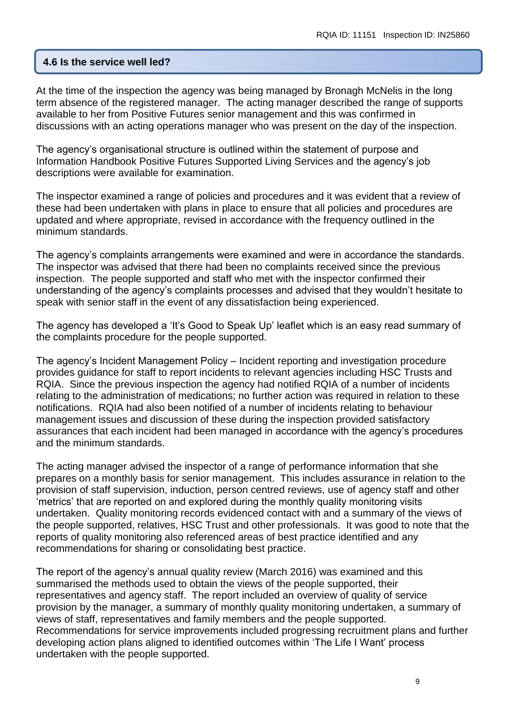#### **4.6 Is the service well led?**

At the time of the inspection the agency was being managed by Bronagh McNelis in the long term absence of the registered manager. The acting manager described the range of supports available to her from Positive Futures senior management and this was confirmed in discussions with an acting operations manager who was present on the day of the inspection.

The agency's organisational structure is outlined within the statement of purpose and Information Handbook Positive Futures Supported Living Services and the agency's job descriptions were available for examination.

The inspector examined a range of policies and procedures and it was evident that a review of these had been undertaken with plans in place to ensure that all policies and procedures are updated and where appropriate, revised in accordance with the frequency outlined in the minimum standards.

The agency's complaints arrangements were examined and were in accordance the standards. The inspector was advised that there had been no complaints received since the previous inspection. The people supported and staff who met with the inspector confirmed their understanding of the agency's complaints processes and advised that they wouldn't hesitate to speak with senior staff in the event of any dissatisfaction being experienced.

The agency has developed a 'It's Good to Speak Up' leaflet which is an easy read summary of the complaints procedure for the people supported.

The agency's Incident Management Policy – Incident reporting and investigation procedure provides guidance for staff to report incidents to relevant agencies including HSC Trusts and RQIA. Since the previous inspection the agency had notified RQIA of a number of incidents relating to the administration of medications; no further action was required in relation to these notifications. RQIA had also been notified of a number of incidents relating to behaviour management issues and discussion of these during the inspection provided satisfactory assurances that each incident had been managed in accordance with the agency's procedures and the minimum standards.

The acting manager advised the inspector of a range of performance information that she prepares on a monthly basis for senior management. This includes assurance in relation to the provision of staff supervision, induction, person centred reviews, use of agency staff and other 'metrics' that are reported on and explored during the monthly quality monitoring visits undertaken. Quality monitoring records evidenced contact with and a summary of the views of the people supported, relatives, HSC Trust and other professionals. It was good to note that the reports of quality monitoring also referenced areas of best practice identified and any recommendations for sharing or consolidating best practice.

The report of the agency's annual quality review (March 2016) was examined and this summarised the methods used to obtain the views of the people supported, their representatives and agency staff. The report included an overview of quality of service provision by the manager, a summary of monthly quality monitoring undertaken, a summary of views of staff, representatives and family members and the people supported. Recommendations for service improvements included progressing recruitment plans and further developing action plans aligned to identified outcomes within 'The Life I Want' process undertaken with the people supported.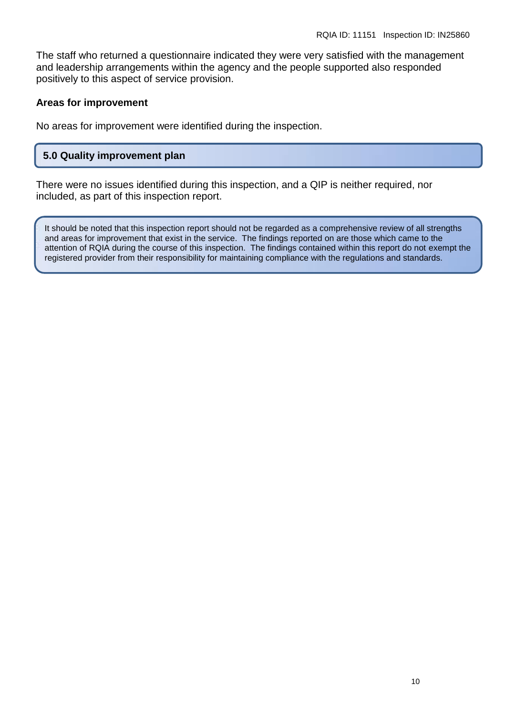The staff who returned a questionnaire indicated they were very satisfied with the management and leadership arrangements within the agency and the people supported also responded positively to this aspect of service provision.

#### **Areas for improvement**

No areas for improvement were identified during the inspection.

## **5.0 Quality improvement plan**

There were no issues identified during this inspection, and a QIP is neither required, nor included, as part of this inspection report.

It should be noted that this inspection report should not be regarded as a comprehensive review of all strengths and areas for improvement that exist in the service. The findings reported on are those which came to the attention of RQIA during the course of this inspection. The findings contained within this report do not exempt the registered provider from their responsibility for maintaining compliance with the regulations and standards.